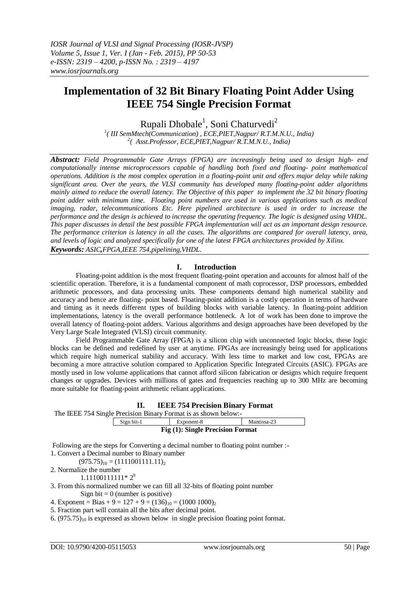# **Implementation of 32 Bit Binary Floating Point Adder Using IEEE 754 Single Precision Format**

Rupali Dhobale<sup>1</sup>, Soni Chaturvedi<sup>2</sup>

*1 ( III SemMtech(Communication) , ECE,PIET,Nagpur/ R.T.M.N.U., India) 2 ( Asst.Professor, ECE,PIET,Nagpur/ R.T.M.N.U., India)*

*Abstract: Field Programmable Gate Arrays (FPGA) are increasingly being used to design high- end computationally intense microprocessors capable of handling both fixed and floating- point mathematical operations. Addition is the most complex operation in a floating-point unit and offers major delay while taking significant area. Over the years, the VLSI community has developed many floating-point adder algorithms mainly aimed to reduce the overall latency. The Objective of this paper to implement the 32 bit binary floating point adder with minimum time. Floating point numbers are used in various applications such as medical imaging, radar, telecommunications Etc. Here pipelined architecture is used in order to increase the performance and the design is achieved to increase the operating frequency. The logic is designed using VHDL. This paper discusses in detail the best possible FPGA implementation will act as an important design resource. The performance criterion is latency in all the cases. The algorithms are compared for overall latency, area, and levels of logic and analyzed specifically for one of the latest FPGA architectures provided by Xilinx. Keywords: ASIC,FPGA,IEEE 754,pipelining,VHDL*.

#### **I. Introduction**

Floating-point addition is the most frequent floating-point operation and accounts for almost half of the scientific operation. Therefore, it is a fundamental component of math coprocessor, DSP processors, embedded arithmetic processors, and data processing units. These components demand high numerical stability and accuracy and hence are floating- point based. Floating-point addition is a costly operation in terms of hardware and timing as it needs different types of building blocks with variable latency. In floating-point addition implementations, latency is the overall performance bottleneck. A lot of work has been done to improve the overall latency of floating-point adders. Various algorithms and design approaches have been developed by the Very Large Scale Integrated (VLSI) circuit community.

Field Programmable Gate Array (FPGA) is a silicon chip with unconnected logic blocks, these logic blocks can be defined and redefined by user at anytime. FPGAs are increasingly being used for applications which require high numerical stability and accuracy. With less time to market and low cost, FPGAs are becoming a more attractive solution compared to Application Specific Integrated Circuits (ASIC). FPGAs are mostly used in low volume applications that cannot afford silicon fabrication or designs which require frequent changes or upgrades. Devices with millions of gates and frequencies reaching up to 300 MHz are becoming more suitable for floating-point arithmetic reliant applications.

| П. |  |  | <b>IEEE 754 Precision Binary Format</b> |  |  |
|----|--|--|-----------------------------------------|--|--|
|----|--|--|-----------------------------------------|--|--|

| Sign bit-1                       | Exponent-8 | Mantissa-23 |  |  |  |  |
|----------------------------------|------------|-------------|--|--|--|--|
| Fig (1): Single Precision Format |            |             |  |  |  |  |

Following are the steps for Converting a decimal number to floating point number :-1. Convert a Decimal number to Binary number

 $(975.75)_{10} = (1111001111.11)_{2}$ 

2. Normalize the number

 $1.11100111111*2<sup>9</sup>$ 

3. From this normalized number we can fill all 32-bits of floating point number

Sign bit  $= 0$  (number is positive)

4. Exponent = Bias + 9 =  $127 + 9 = (136)_{10} = (1000 1000)_{2}$ 

5. Fraction part will contain all the bits after decimal point.

6.  $(975.75)_{10}$  is expressed as shown below in single precision floating point format.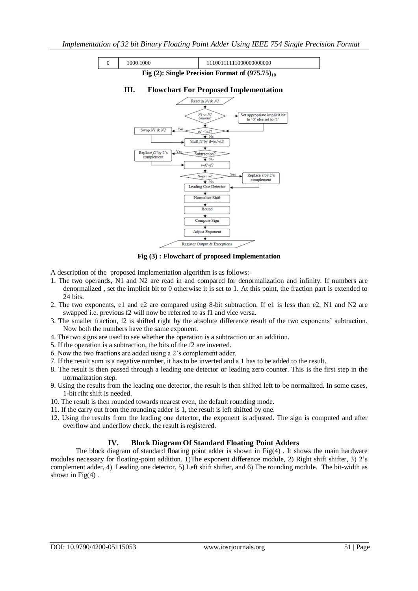

**Fig (3) : Flowchart of proposed Implementation**

- A description of the proposed implementation algorithm is as follows:-
- 1. The two operands, N1 and N2 are read in and compared for denormalization and infinity. If numbers are denormalized , set the implicit bit to 0 otherwise it is set to 1. At this point, the fraction part is extended to 24 bits.
- 2. The two exponents, e1 and e2 are compared using 8-bit subtraction. If e1 is less than e2, N1 and N2 are swapped i.e. previous f2 will now be referred to as f1 and vice versa.
- 3. The smaller fraction, f2 is shifted right by the absolute difference result of the two exponents" subtraction. Now both the numbers have the same exponent.
- 4. The two signs are used to see whether the operation is a subtraction or an addition.
- 5. If the operation is a subtraction, the bits of the f2 are inverted.
- 6. Now the two fractions are added using a 2"s complement adder.
- 7. If the result sum is a negative number, it has to be inverted and a 1 has to be added to the result.
- 8. The result is then passed through a leading one detector or leading zero counter. This is the first step in the normalization step.
- 9. Using the results from the leading one detector, the result is then shifted left to be normalized. In some cases, 1-bit riht shift is needed.
- 10. The result is then rounded towards nearest even, the default rounding mode.
- 11. If the carry out from the rounding adder is 1, the result is left shifted by one.
- 12. Using the results from the leading one detector, the exponent is adjusted. The sign is computed and after overflow and underflow check, the result is registered.

# **IV. Block Diagram Of Standard Floating Point Adders**

The block diagram of standard floating point adder is shown in  $Fig(4)$ . It shows the main hardware modules necessary for floating-point addition. 1)The exponent difference module, 2) Right shift shifter, 3) 2"s complement adder, 4) Leading one detector, 5) Left shift shifter, and 6) The rounding module. The bit-width as shown in  $Fig(4)$ .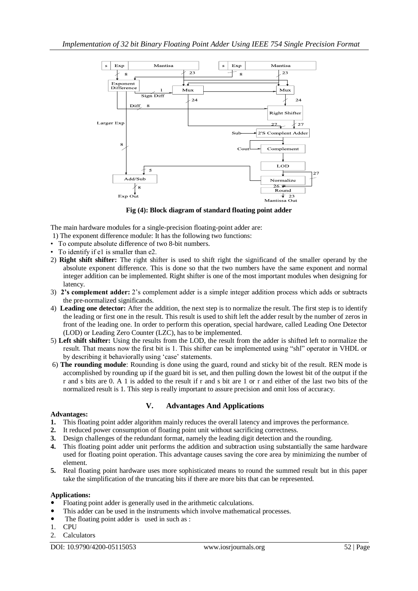

**Fig (4): Block diagram of standard floating point adder**

The main hardware modules for a single-precision floating-point adder are:

- 1) The exponent difference module: It has the following two functions:
- To compute absolute difference of two 8-bit numbers.
- To identify if e1 is smaller than e2.
- 2) **Right shift shifter:** The right shifter is used to shift right the significand of the smaller operand by the absolute exponent difference. This is done so that the two numbers have the same exponent and normal integer addition can be implemented. Right shifter is one of the most important modules when designing for latency.
- 3) **2's complement adder:** 2"s complement adder is a simple integer addition process which adds or subtracts the pre-normalized significands.
- 4) **Leading one detector:** After the addition, the next step is to normalize the result. The first step is to identify the leading or first one in the result. This result is used to shift left the adder result by the number of zeros in front of the leading one. In order to perform this operation, special hardware, called Leading One Detector (LOD) or Leading Zero Counter (LZC), has to be implemented.
- 5) **Left shift shifter:** Using the results from the LOD, the result from the adder is shifted left to normalize the result. That means now the first bit is 1. This shifter can be implemented using "shl" operator in VHDL or by describing it behaviorally using "case" statements.
- 6) **The rounding module**: Rounding is done using the guard, round and sticky bit of the result. REN mode is accomplished by rounding up if the guard bit is set, and then pulling down the lowest bit of the output if the r and s bits are 0. A 1 is added to the result if r and s bit are 1 or r and either of the last two bits of the normalized result is 1. This step is really important to assure precision and omit loss of accuracy.

# **V. Advantages And Applications**

#### **Advantages:**

- **1.** This floating point adder algorithm mainly reduces the overall latency and improves the performance.
- **2.** It reduced power consumption of floating point unit without sacrificing correctness.
- **3.** Design challenges of the redundant format, namely the leading digit detection and the rounding.
- **4.** This floating point adder unit performs the addition and subtraction using substantially the same hardware used for floating point operation. This advantage causes saving the core area by minimizing the number of element.
- **5.** Real floating point hardware uses more sophisticated means to round the summed result but in this paper take the simplification of the truncating bits if there are more bits that can be represented.

### **Applications:**

- Floating point adder is generally used in the arithmetic calculations.
- This adder can be used in the instruments which involve mathematical processes.
- The floating point adder is used in such as :
- 1. CPU
- 2. Calculators